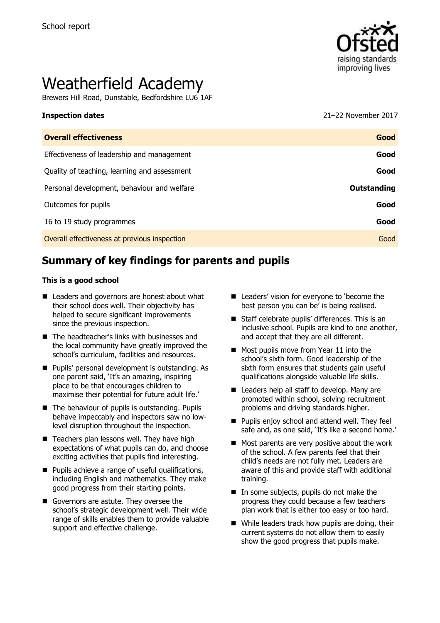

# Weatherfield Academy

Brewers Hill Road, Dunstable, Bedfordshire LU6 1AF

**Inspection dates** 2017 **CONSERVISTED 2017** 

| <b>Overall effectiveness</b>                 | Good        |
|----------------------------------------------|-------------|
| Effectiveness of leadership and management   | Good        |
| Quality of teaching, learning and assessment | Good        |
| Personal development, behaviour and welfare  | Outstanding |
| Outcomes for pupils                          | Good        |
| 16 to 19 study programmes                    | Good        |
| Overall effectiveness at previous inspection | Good        |
|                                              |             |

# **Summary of key findings for parents and pupils**

#### **This is a good school**

- Leaders and governors are honest about what their school does well. Their objectivity has helped to secure significant improvements since the previous inspection.
- The headteacher's links with businesses and the local community have greatly improved the school's curriculum, facilities and resources.
- **Pupils' personal development is outstanding. As** one parent said, 'It's an amazing, inspiring place to be that encourages children to maximise their potential for future adult life.'
- The behaviour of pupils is outstanding. Pupils behave impeccably and inspectors saw no lowlevel disruption throughout the inspection.
- $\blacksquare$  Teachers plan lessons well. They have high expectations of what pupils can do, and choose exciting activities that pupils find interesting.
- **Pupils achieve a range of useful qualifications,** including English and mathematics. They make good progress from their starting points.
- Governors are astute. They oversee the school's strategic development well. Their wide range of skills enables them to provide valuable support and effective challenge.
- Leaders' vision for everyone to 'become the best person you can be' is being realised.
- Staff celebrate pupils' differences. This is an inclusive school. Pupils are kind to one another, and accept that they are all different.
- Most pupils move from Year 11 into the school's sixth form. Good leadership of the sixth form ensures that students gain useful qualifications alongside valuable life skills.
- Leaders help all staff to develop. Many are promoted within school, solving recruitment problems and driving standards higher.
- **Pupils enjoy school and attend well. They feel** safe and, as one said, 'It's like a second home.'
- $\blacksquare$  Most parents are very positive about the work of the school. A few parents feel that their child's needs are not fully met. Leaders are aware of this and provide staff with additional training.
- In some subjects, pupils do not make the progress they could because a few teachers plan work that is either too easy or too hard.
- While leaders track how pupils are doing, their current systems do not allow them to easily show the good progress that pupils make.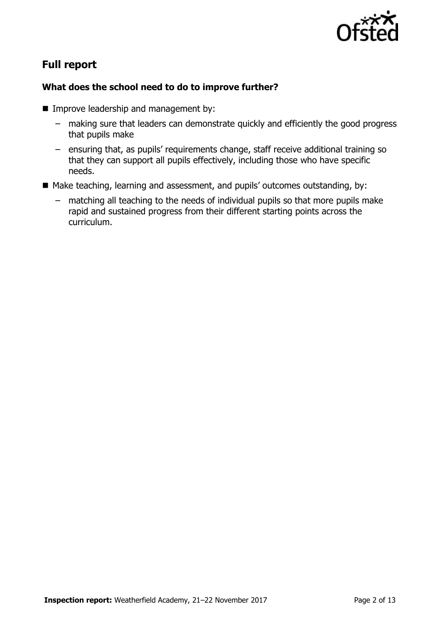

# **Full report**

### **What does the school need to do to improve further?**

- **Improve leadership and management by:** 
	- making sure that leaders can demonstrate quickly and efficiently the good progress that pupils make
	- ensuring that, as pupils' requirements change, staff receive additional training so that they can support all pupils effectively, including those who have specific needs.
- Make teaching, learning and assessment, and pupils' outcomes outstanding, by:
	- matching all teaching to the needs of individual pupils so that more pupils make rapid and sustained progress from their different starting points across the curriculum.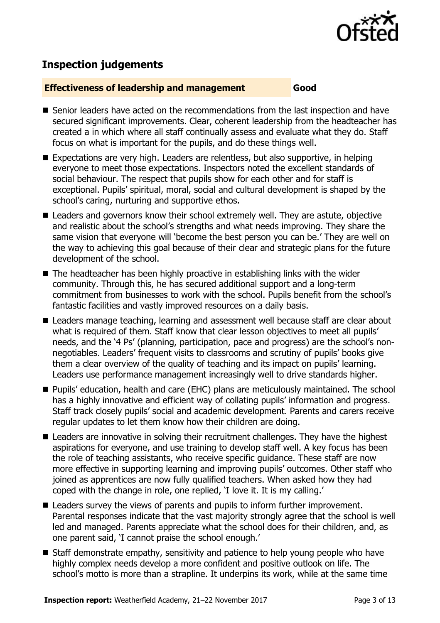

# **Inspection judgements**

#### **Effectiveness of leadership and management Good**

- Senior leaders have acted on the recommendations from the last inspection and have secured significant improvements. Clear, coherent leadership from the headteacher has created a in which where all staff continually assess and evaluate what they do. Staff focus on what is important for the pupils, and do these things well.
- Expectations are very high. Leaders are relentless, but also supportive, in helping everyone to meet those expectations. Inspectors noted the excellent standards of social behaviour. The respect that pupils show for each other and for staff is exceptional. Pupils' spiritual, moral, social and cultural development is shaped by the school's caring, nurturing and supportive ethos.
- Leaders and governors know their school extremely well. They are astute, objective and realistic about the school's strengths and what needs improving. They share the same vision that everyone will 'become the best person you can be.' They are well on the way to achieving this goal because of their clear and strategic plans for the future development of the school.
- The headteacher has been highly proactive in establishing links with the wider community. Through this, he has secured additional support and a long-term commitment from businesses to work with the school. Pupils benefit from the school's fantastic facilities and vastly improved resources on a daily basis.
- Leaders manage teaching, learning and assessment well because staff are clear about what is required of them. Staff know that clear lesson objectives to meet all pupils' needs, and the '4 Ps' (planning, participation, pace and progress) are the school's nonnegotiables. Leaders' frequent visits to classrooms and scrutiny of pupils' books give them a clear overview of the quality of teaching and its impact on pupils' learning. Leaders use performance management increasingly well to drive standards higher.
- **Pupils' education, health and care (EHC) plans are meticulously maintained. The school** has a highly innovative and efficient way of collating pupils' information and progress. Staff track closely pupils' social and academic development. Parents and carers receive regular updates to let them know how their children are doing.
- Leaders are innovative in solving their recruitment challenges. They have the highest aspirations for everyone, and use training to develop staff well. A key focus has been the role of teaching assistants, who receive specific guidance. These staff are now more effective in supporting learning and improving pupils' outcomes. Other staff who joined as apprentices are now fully qualified teachers. When asked how they had coped with the change in role, one replied, 'I love it. It is my calling.'
- Leaders survey the views of parents and pupils to inform further improvement. Parental responses indicate that the vast majority strongly agree that the school is well led and managed. Parents appreciate what the school does for their children, and, as one parent said, 'I cannot praise the school enough.'
- Staff demonstrate empathy, sensitivity and patience to help young people who have highly complex needs develop a more confident and positive outlook on life. The school's motto is more than a strapline. It underpins its work, while at the same time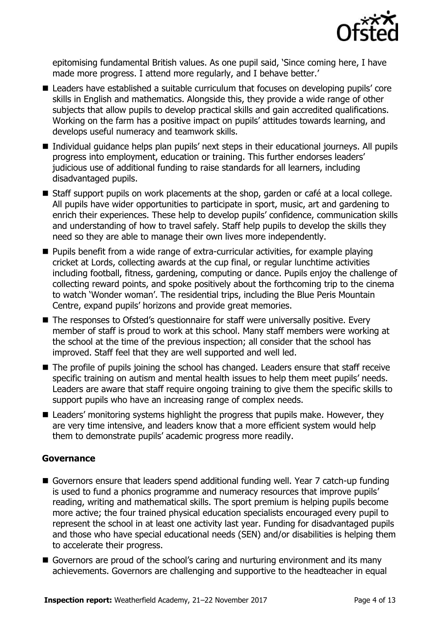

epitomising fundamental British values. As one pupil said, 'Since coming here, I have made more progress. I attend more regularly, and I behave better.'

- Leaders have established a suitable curriculum that focuses on developing pupils' core skills in English and mathematics. Alongside this, they provide a wide range of other subjects that allow pupils to develop practical skills and gain accredited qualifications. Working on the farm has a positive impact on pupils' attitudes towards learning, and develops useful numeracy and teamwork skills.
- Individual guidance helps plan pupils' next steps in their educational journeys. All pupils progress into employment, education or training. This further endorses leaders' judicious use of additional funding to raise standards for all learners, including disadvantaged pupils.
- Staff support pupils on work placements at the shop, garden or café at a local college. All pupils have wider opportunities to participate in sport, music, art and gardening to enrich their experiences. These help to develop pupils' confidence, communication skills and understanding of how to travel safely. Staff help pupils to develop the skills they need so they are able to manage their own lives more independently.
- Pupils benefit from a wide range of extra-curricular activities, for example playing cricket at Lords, collecting awards at the cup final, or regular lunchtime activities including football, fitness, gardening, computing or dance. Pupils enjoy the challenge of collecting reward points, and spoke positively about the forthcoming trip to the cinema to watch 'Wonder woman'. The residential trips, including the Blue Peris Mountain Centre, expand pupils' horizons and provide great memories.
- The responses to Ofsted's questionnaire for staff were universally positive. Every member of staff is proud to work at this school. Many staff members were working at the school at the time of the previous inspection; all consider that the school has improved. Staff feel that they are well supported and well led.
- The profile of pupils joining the school has changed. Leaders ensure that staff receive specific training on autism and mental health issues to help them meet pupils' needs. Leaders are aware that staff require ongoing training to give them the specific skills to support pupils who have an increasing range of complex needs.
- Leaders' monitoring systems highlight the progress that pupils make. However, they are very time intensive, and leaders know that a more efficient system would help them to demonstrate pupils' academic progress more readily.

#### **Governance**

- Governors ensure that leaders spend additional funding well. Year 7 catch-up funding is used to fund a phonics programme and numeracy resources that improve pupils' reading, writing and mathematical skills. The sport premium is helping pupils become more active; the four trained physical education specialists encouraged every pupil to represent the school in at least one activity last year. Funding for disadvantaged pupils and those who have special educational needs (SEN) and/or disabilities is helping them to accelerate their progress.
- Governors are proud of the school's caring and nurturing environment and its many achievements. Governors are challenging and supportive to the headteacher in equal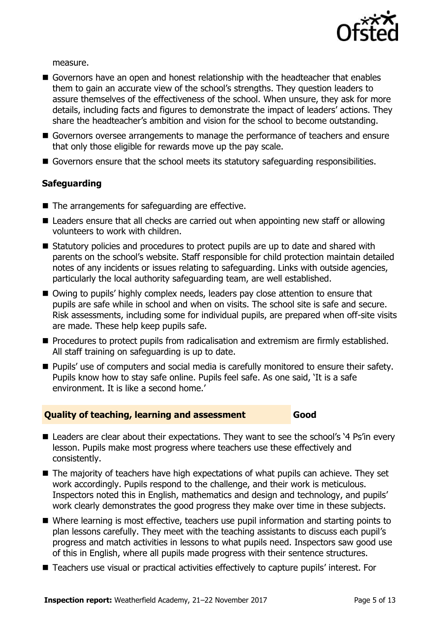

measure.

- Governors have an open and honest relationship with the headteacher that enables them to gain an accurate view of the school's strengths. They question leaders to assure themselves of the effectiveness of the school. When unsure, they ask for more details, including facts and figures to demonstrate the impact of leaders' actions. They share the headteacher's ambition and vision for the school to become outstanding.
- Governors oversee arrangements to manage the performance of teachers and ensure that only those eligible for rewards move up the pay scale.
- Governors ensure that the school meets its statutory safeguarding responsibilities.

### **Safeguarding**

- The arrangements for safeguarding are effective.
- Leaders ensure that all checks are carried out when appointing new staff or allowing volunteers to work with children.
- Statutory policies and procedures to protect pupils are up to date and shared with parents on the school's website. Staff responsible for child protection maintain detailed notes of any incidents or issues relating to safeguarding. Links with outside agencies, particularly the local authority safeguarding team, are well established.
- Owing to pupils' highly complex needs, leaders pay close attention to ensure that pupils are safe while in school and when on visits. The school site is safe and secure. Risk assessments, including some for individual pupils, are prepared when off-site visits are made. These help keep pupils safe.
- **Procedures to protect pupils from radicalisation and extremism are firmly established.** All staff training on safeguarding is up to date.
- **Pupils' use of computers and social media is carefully monitored to ensure their safety.** Pupils know how to stay safe online. Pupils feel safe. As one said, 'It is a safe environment. It is like a second home.'

#### **Quality of teaching, learning and assessment Good**

- Leaders are clear about their expectations. They want to see the school's '4 Ps'in every lesson. Pupils make most progress where teachers use these effectively and consistently.
- The majority of teachers have high expectations of what pupils can achieve. They set work accordingly. Pupils respond to the challenge, and their work is meticulous. Inspectors noted this in English, mathematics and design and technology, and pupils' work clearly demonstrates the good progress they make over time in these subjects.
- Where learning is most effective, teachers use pupil information and starting points to plan lessons carefully. They meet with the teaching assistants to discuss each pupil's progress and match activities in lessons to what pupils need. Inspectors saw good use of this in English, where all pupils made progress with their sentence structures.
- Teachers use visual or practical activities effectively to capture pupils' interest. For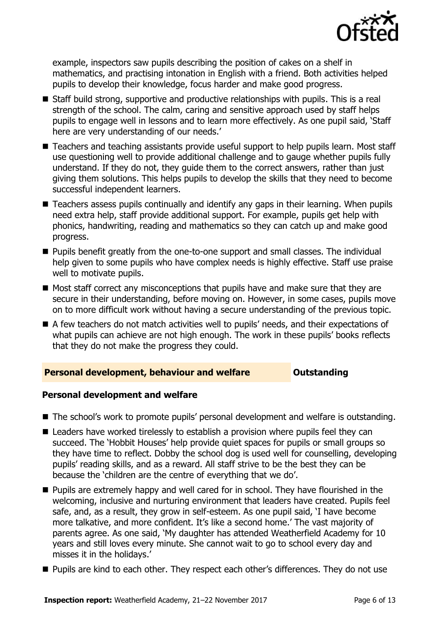

example, inspectors saw pupils describing the position of cakes on a shelf in mathematics, and practising intonation in English with a friend. Both activities helped pupils to develop their knowledge, focus harder and make good progress.

- Staff build strong, supportive and productive relationships with pupils. This is a real strength of the school. The calm, caring and sensitive approach used by staff helps pupils to engage well in lessons and to learn more effectively. As one pupil said, 'Staff here are very understanding of our needs.'
- Teachers and teaching assistants provide useful support to help pupils learn. Most staff use questioning well to provide additional challenge and to gauge whether pupils fully understand. If they do not, they guide them to the correct answers, rather than just giving them solutions. This helps pupils to develop the skills that they need to become successful independent learners.
- Teachers assess pupils continually and identify any gaps in their learning. When pupils need extra help, staff provide additional support. For example, pupils get help with phonics, handwriting, reading and mathematics so they can catch up and make good progress.
- Pupils benefit greatly from the one-to-one support and small classes. The individual help given to some pupils who have complex needs is highly effective. Staff use praise well to motivate pupils.
- $\blacksquare$  Most staff correct any misconceptions that pupils have and make sure that they are secure in their understanding, before moving on. However, in some cases, pupils move on to more difficult work without having a secure understanding of the previous topic.
- A few teachers do not match activities well to pupils' needs, and their expectations of what pupils can achieve are not high enough. The work in these pupils' books reflects that they do not make the progress they could.

#### **Personal development, behaviour and welfare <b>COUNG COULD BEE**

#### **Personal development and welfare**

- The school's work to promote pupils' personal development and welfare is outstanding.
- Leaders have worked tirelessly to establish a provision where pupils feel they can succeed. The 'Hobbit Houses' help provide quiet spaces for pupils or small groups so they have time to reflect. Dobby the school dog is used well for counselling, developing pupils' reading skills, and as a reward. All staff strive to be the best they can be because the 'children are the centre of everything that we do'.
- **Pupils are extremely happy and well cared for in school. They have flourished in the** welcoming, inclusive and nurturing environment that leaders have created. Pupils feel safe, and, as a result, they grow in self-esteem. As one pupil said, 'I have become more talkative, and more confident. It's like a second home.' The vast majority of parents agree. As one said, 'My daughter has attended Weatherfield Academy for 10 years and still loves every minute. She cannot wait to go to school every day and misses it in the holidays.'
- **Pupils are kind to each other. They respect each other's differences. They do not use**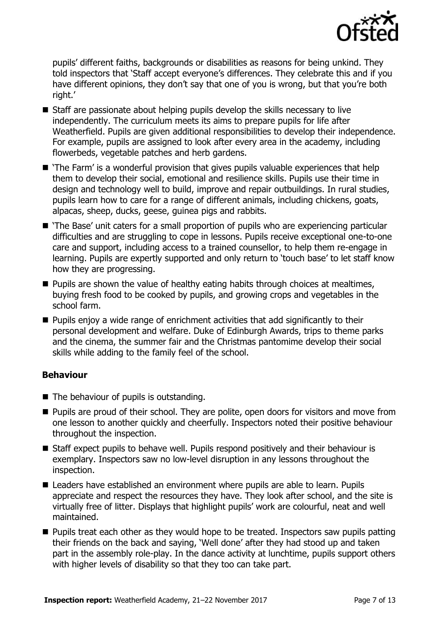

pupils' different faiths, backgrounds or disabilities as reasons for being unkind. They told inspectors that 'Staff accept everyone's differences. They celebrate this and if you have different opinions, they don't say that one of you is wrong, but that you're both right.'

- $\blacksquare$  Staff are passionate about helping pupils develop the skills necessary to live independently. The curriculum meets its aims to prepare pupils for life after Weatherfield. Pupils are given additional responsibilities to develop their independence. For example, pupils are assigned to look after every area in the academy, including flowerbeds, vegetable patches and herb gardens.
- 'The Farm' is a wonderful provision that gives pupils valuable experiences that help them to develop their social, emotional and resilience skills. Pupils use their time in design and technology well to build, improve and repair outbuildings. In rural studies, pupils learn how to care for a range of different animals, including chickens, goats, alpacas, sheep, ducks, geese, guinea pigs and rabbits.
- 'The Base' unit caters for a small proportion of pupils who are experiencing particular difficulties and are struggling to cope in lessons. Pupils receive exceptional one-to-one care and support, including access to a trained counsellor, to help them re-engage in learning. Pupils are expertly supported and only return to 'touch base' to let staff know how they are progressing.
- $\blacksquare$  Pupils are shown the value of healthy eating habits through choices at mealtimes, buying fresh food to be cooked by pupils, and growing crops and vegetables in the school farm.
- **Pupils enjoy a wide range of enrichment activities that add significantly to their** personal development and welfare. Duke of Edinburgh Awards, trips to theme parks and the cinema, the summer fair and the Christmas pantomime develop their social skills while adding to the family feel of the school.

#### **Behaviour**

- The behaviour of pupils is outstanding.
- **Pupils are proud of their school. They are polite, open doors for visitors and move from** one lesson to another quickly and cheerfully. Inspectors noted their positive behaviour throughout the inspection.
- Staff expect pupils to behave well. Pupils respond positively and their behaviour is exemplary. Inspectors saw no low-level disruption in any lessons throughout the inspection.
- Leaders have established an environment where pupils are able to learn. Pupils appreciate and respect the resources they have. They look after school, and the site is virtually free of litter. Displays that highlight pupils' work are colourful, neat and well maintained.
- **Pupils treat each other as they would hope to be treated. Inspectors saw pupils patting** their friends on the back and saying, 'Well done' after they had stood up and taken part in the assembly role-play. In the dance activity at lunchtime, pupils support others with higher levels of disability so that they too can take part.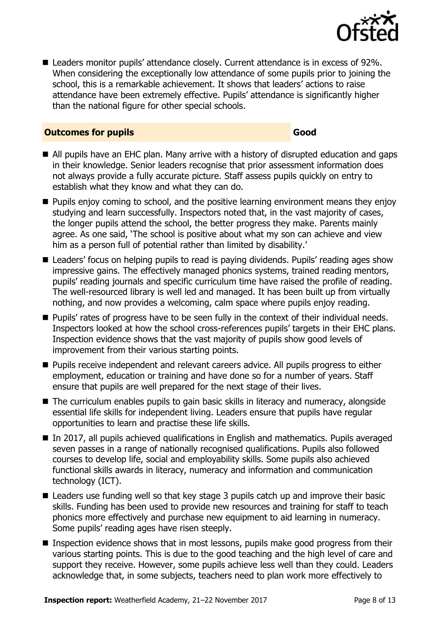

■ Leaders monitor pupils' attendance closely. Current attendance is in excess of 92%. When considering the exceptionally low attendance of some pupils prior to joining the school, this is a remarkable achievement. It shows that leaders' actions to raise attendance have been extremely effective. Pupils' attendance is significantly higher than the national figure for other special schools.

#### **Outcomes for pupils Good**

- All pupils have an EHC plan. Many arrive with a history of disrupted education and gaps in their knowledge. Senior leaders recognise that prior assessment information does not always provide a fully accurate picture. Staff assess pupils quickly on entry to establish what they know and what they can do.
- **Pupils enjoy coming to school, and the positive learning environment means they enjoy** studying and learn successfully. Inspectors noted that, in the vast majority of cases, the longer pupils attend the school, the better progress they make. Parents mainly agree. As one said, 'The school is positive about what my son can achieve and view him as a person full of potential rather than limited by disability.'
- Leaders' focus on helping pupils to read is paying dividends. Pupils' reading ages show impressive gains. The effectively managed phonics systems, trained reading mentors, pupils' reading journals and specific curriculum time have raised the profile of reading. The well-resourced library is well led and managed. It has been built up from virtually nothing, and now provides a welcoming, calm space where pupils enjoy reading.
- **Pupils'** rates of progress have to be seen fully in the context of their individual needs. Inspectors looked at how the school cross-references pupils' targets in their EHC plans. Inspection evidence shows that the vast majority of pupils show good levels of improvement from their various starting points.
- **Pupils receive independent and relevant careers advice. All pupils progress to either** employment, education or training and have done so for a number of years. Staff ensure that pupils are well prepared for the next stage of their lives.
- The curriculum enables pupils to gain basic skills in literacy and numeracy, alongside essential life skills for independent living. Leaders ensure that pupils have regular opportunities to learn and practise these life skills.
- In 2017, all pupils achieved qualifications in English and mathematics. Pupils averaged seven passes in a range of nationally recognised qualifications. Pupils also followed courses to develop life, social and employability skills. Some pupils also achieved functional skills awards in literacy, numeracy and information and communication technology (ICT).
- Leaders use funding well so that key stage 3 pupils catch up and improve their basic skills. Funding has been used to provide new resources and training for staff to teach phonics more effectively and purchase new equipment to aid learning in numeracy. Some pupils' reading ages have risen steeply.
- Inspection evidence shows that in most lessons, pupils make good progress from their various starting points. This is due to the good teaching and the high level of care and support they receive. However, some pupils achieve less well than they could. Leaders acknowledge that, in some subjects, teachers need to plan work more effectively to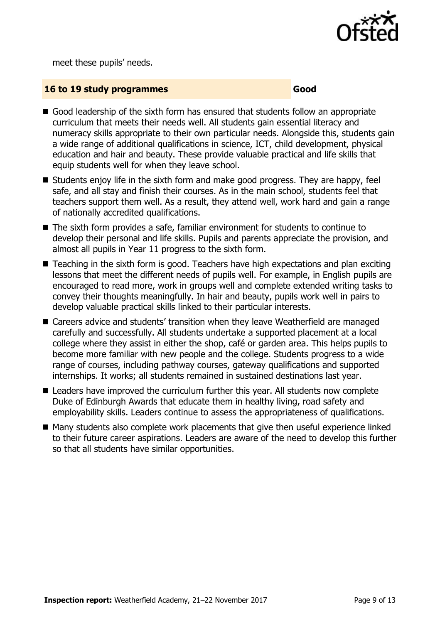

meet these pupils' needs.

#### **16 to 19 study programmes Good**

- Good leadership of the sixth form has ensured that students follow an appropriate curriculum that meets their needs well. All students gain essential literacy and numeracy skills appropriate to their own particular needs. Alongside this, students gain a wide range of additional qualifications in science, ICT, child development, physical education and hair and beauty. These provide valuable practical and life skills that equip students well for when they leave school.
- Students enjoy life in the sixth form and make good progress. They are happy, feel safe, and all stay and finish their courses. As in the main school, students feel that teachers support them well. As a result, they attend well, work hard and gain a range of nationally accredited qualifications.
- The sixth form provides a safe, familiar environment for students to continue to develop their personal and life skills. Pupils and parents appreciate the provision, and almost all pupils in Year 11 progress to the sixth form.
- Teaching in the sixth form is good. Teachers have high expectations and plan exciting lessons that meet the different needs of pupils well. For example, in English pupils are encouraged to read more, work in groups well and complete extended writing tasks to convey their thoughts meaningfully. In hair and beauty, pupils work well in pairs to develop valuable practical skills linked to their particular interests.
- Careers advice and students' transition when they leave Weatherfield are managed carefully and successfully. All students undertake a supported placement at a local college where they assist in either the shop, café or garden area. This helps pupils to become more familiar with new people and the college. Students progress to a wide range of courses, including pathway courses, gateway qualifications and supported internships. It works; all students remained in sustained destinations last year.
- Leaders have improved the curriculum further this year. All students now complete Duke of Edinburgh Awards that educate them in healthy living, road safety and employability skills. Leaders continue to assess the appropriateness of qualifications.
- Many students also complete work placements that give then useful experience linked to their future career aspirations. Leaders are aware of the need to develop this further so that all students have similar opportunities.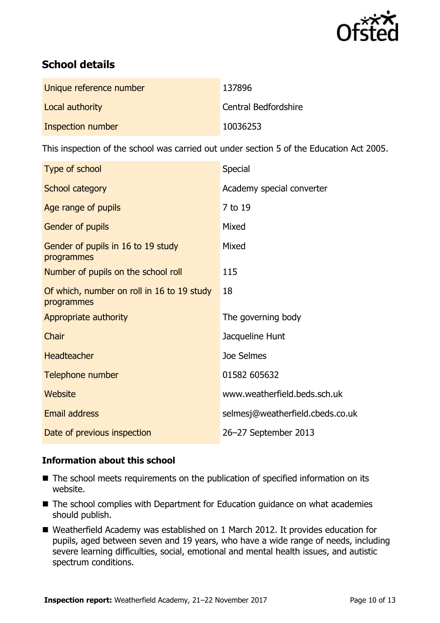

# **School details**

| Unique reference number | 137896               |
|-------------------------|----------------------|
| Local authority         | Central Bedfordshire |
| Inspection number       | 10036253             |

This inspection of the school was carried out under section 5 of the Education Act 2005.

| Type of school                                           | <b>Special</b>                   |
|----------------------------------------------------------|----------------------------------|
| School category                                          | Academy special converter        |
| Age range of pupils                                      | 7 to 19                          |
| Gender of pupils                                         | Mixed                            |
| Gender of pupils in 16 to 19 study<br>programmes         | Mixed                            |
| Number of pupils on the school roll                      | 115                              |
| Of which, number on roll in 16 to 19 study<br>programmes | 18                               |
| Appropriate authority                                    | The governing body               |
| Chair                                                    | Jacqueline Hunt                  |
| <b>Headteacher</b>                                       | Joe Selmes                       |
| Telephone number                                         | 01582 605632                     |
| Website                                                  | www.weatherfield.beds.sch.uk     |
| <b>Email address</b>                                     | selmesj@weatherfield.cbeds.co.uk |
| Date of previous inspection                              | 26-27 September 2013             |

#### **Information about this school**

- The school meets requirements on the publication of specified information on its website.
- The school complies with Department for Education guidance on what academies should publish.
- Weatherfield Academy was established on 1 March 2012. It provides education for pupils, aged between seven and 19 years, who have a wide range of needs, including severe learning difficulties, social, emotional and mental health issues, and autistic spectrum conditions.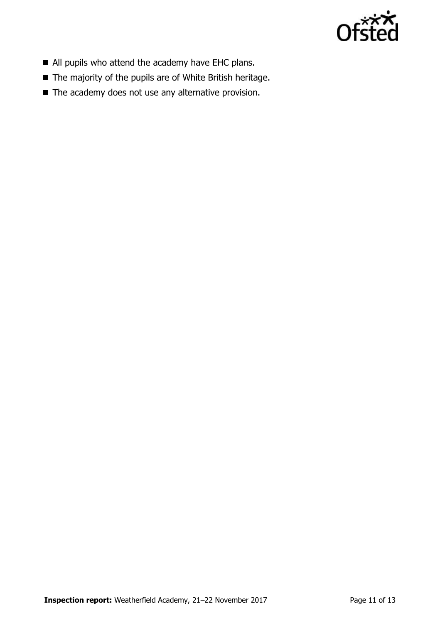

- All pupils who attend the academy have EHC plans.
- The majority of the pupils are of White British heritage.
- The academy does not use any alternative provision.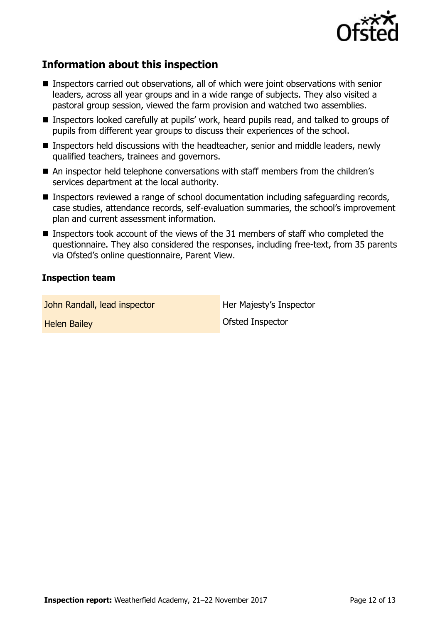

# **Information about this inspection**

- Inspectors carried out observations, all of which were joint observations with senior leaders, across all year groups and in a wide range of subjects. They also visited a pastoral group session, viewed the farm provision and watched two assemblies.
- Inspectors looked carefully at pupils' work, heard pupils read, and talked to groups of pupils from different year groups to discuss their experiences of the school.
- Inspectors held discussions with the headteacher, senior and middle leaders, newly qualified teachers, trainees and governors.
- An inspector held telephone conversations with staff members from the children's services department at the local authority.
- Inspectors reviewed a range of school documentation including safeguarding records, case studies, attendance records, self-evaluation summaries, the school's improvement plan and current assessment information.
- **Inspectors took account of the views of the 31 members of staff who completed the** questionnaire. They also considered the responses, including free-text, from 35 parents via Ofsted's online questionnaire, Parent View.

#### **Inspection team**

John Randall, lead inspector **Her Majesty's Inspector** 

Helen Bailey Ofsted Inspector